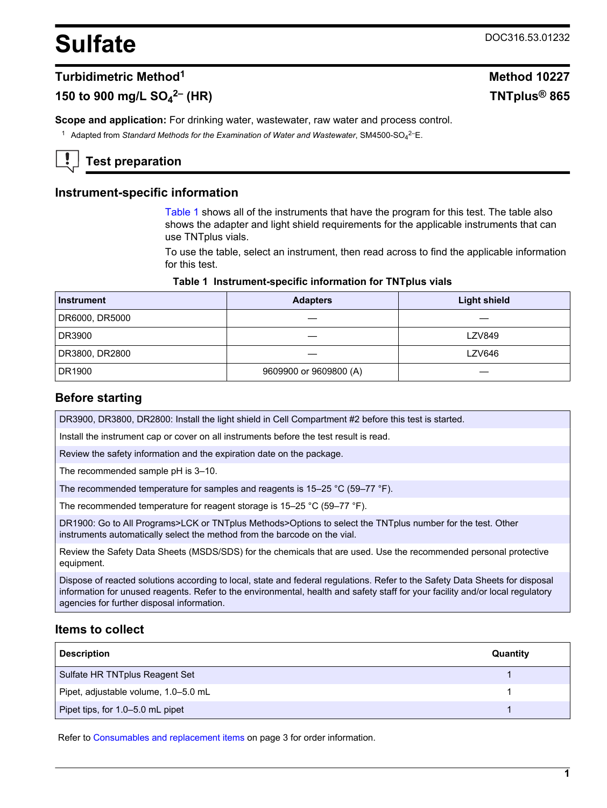# <span id="page-0-0"></span>Sulfate DOC316.53.01232

## **Turbidimetric Method<sup>1</sup> Method 10227**

# **150 to 900 mg/L SO<sup>4</sup>**

**Scope and application:** For drinking water, wastewater, raw water and process control.

<sup>1</sup> Adapted from *Standard Methods for the Examination of Water and Wastewater*, SM4500-SO<sub>4</sub><sup>2–</sup>E.

# **Test preparation**

## **Instrument-specific information**

Table 1 shows all of the instruments that have the program for this test. The table also shows the adapter and light shield requirements for the applicable instruments that can use TNTplus vials.

To use the table, select an instrument, then read across to find the applicable information for this test.

#### **Table 1 Instrument-specific information for TNTplus vials**

| <b>Instrument</b> | <b>Adapters</b>        | <b>Light shield</b> |
|-------------------|------------------------|---------------------|
| DR6000, DR5000    |                        |                     |
| DR3900            |                        | <b>LZV849</b>       |
| DR3800, DR2800    |                        | LZV646              |
| DR1900            | 9609900 or 9609800 (A) |                     |

#### **Before starting**

DR3900, DR3800, DR2800: Install the light shield in Cell Compartment #2 before this test is started.

Install the instrument cap or cover on all instruments before the test result is read.

Review the safety information and the expiration date on the package.

The recommended sample pH is 3–10.

The recommended temperature for samples and reagents is 15–25 °C (59–77 °F).

The recommended temperature for reagent storage is 15–25 °C (59–77 °F).

DR1900: Go to All Programs>LCK or TNTplus Methods>Options to select the TNTplus number for the test. Other instruments automatically select the method from the barcode on the vial.

Review the Safety Data Sheets (MSDS/SDS) for the chemicals that are used. Use the recommended personal protective equipment.

Dispose of reacted solutions according to local, state and federal regulations. Refer to the Safety Data Sheets for disposal information for unused reagents. Refer to the environmental, health and safety staff for your facility and/or local regulatory agencies for further disposal information.

## **Items to collect**

| <b>Description</b>                   | Quantity |
|--------------------------------------|----------|
| Sulfate HR TNTplus Reagent Set       |          |
| Pipet, adjustable volume, 1.0-5.0 mL |          |
| Pipet tips, for 1.0-5.0 mL pipet     |          |

Refer to [Consumables and replacement items](#page-2-0) on page 3 for order information.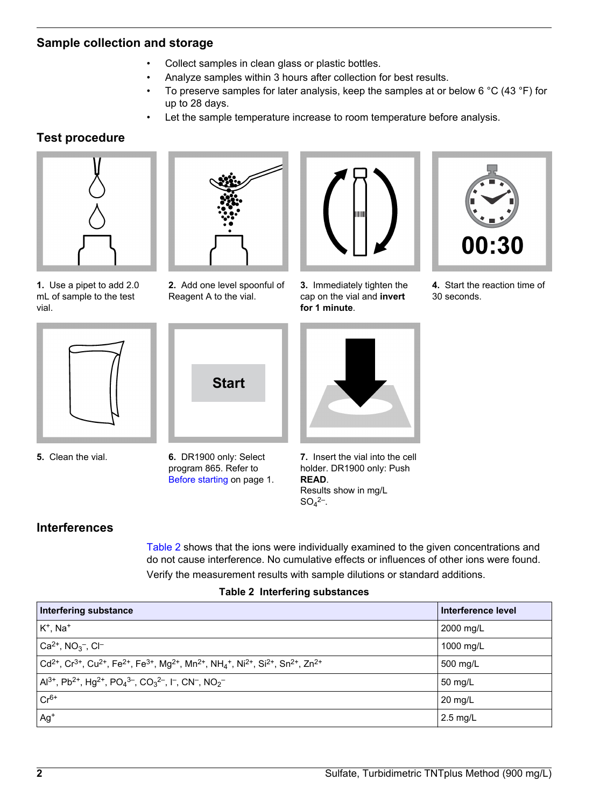## **Sample collection and storage**

- Collect samples in clean glass or plastic bottles.
- Analyze samples within 3 hours after collection for best results.
- To preserve samples for later analysis, keep the samples at or below 6  $\degree$ C (43  $\degree$ F) for up to 28 days.
- Let the sample temperature increase to room temperature before analysis.

# **Test procedure**



**1.** Use a pipet to add 2.0 mL of sample to the test vial.



**2.** Add one level spoonful of Reagent A to the vial.



**3.** Immediately tighten the cap on the vial and **invert for 1 minute**.



**4.** Start the reaction time of 30 seconds.



**5.** Clean the vial.



**6.** DR1900 only: Select program 865. Refer to [Before starting](#page-0-0) on page 1.



**7.** Insert the vial into the cell holder. DR1900 only: Push **READ**. Results show in mg/L  $SO_4^{2-}$ .

## **Interferences**

Table 2 shows that the ions were individually examined to the given concentrations and do not cause interference. No cumulative effects or influences of other ions were found. Verify the measurement results with sample dilutions or standard additions.

## **Table 2 Interfering substances**

| Interfering substance                                                                                                                                                                                                                                 | Interference level |
|-------------------------------------------------------------------------------------------------------------------------------------------------------------------------------------------------------------------------------------------------------|--------------------|
| $K^+$ , Na <sup>+</sup>                                                                                                                                                                                                                               | 2000 mg/L          |
| $ Ca^{2+}$ , NO <sub>3</sub> <sup>-</sup> , CI <sup>-</sup>                                                                                                                                                                                           | 1000 mg/L          |
| $\vert$ Cd <sup>2+</sup> , Cr <sup>3+</sup> , Cu <sup>2+</sup> , Fe <sup>2+</sup> , Fe <sup>3+</sup> , Mg <sup>2+</sup> , Mn <sup>2+</sup> , NH <sub>4</sub> <sup>+</sup> , Ni <sup>2+</sup> , Si <sup>2+</sup> , Sn <sup>2+</sup> , Zn <sup>2+</sup> | 500 mg/L           |
| $ $ Al <sup>3+</sup> , Pb <sup>2+</sup> , Hg <sup>2+</sup> , PO <sub>4</sub> <sup>3-</sup> , CO <sub>3</sub> <sup>2-</sup> , I <sup>-</sup> , CN <sup>-</sup> , NO <sub>2</sub> <sup>-</sup>                                                          | 50 mg/L            |
| $Cr^{6+}$                                                                                                                                                                                                                                             | $20 \text{ mq/L}$  |
| $Ag+$                                                                                                                                                                                                                                                 | 2.5 mg/L           |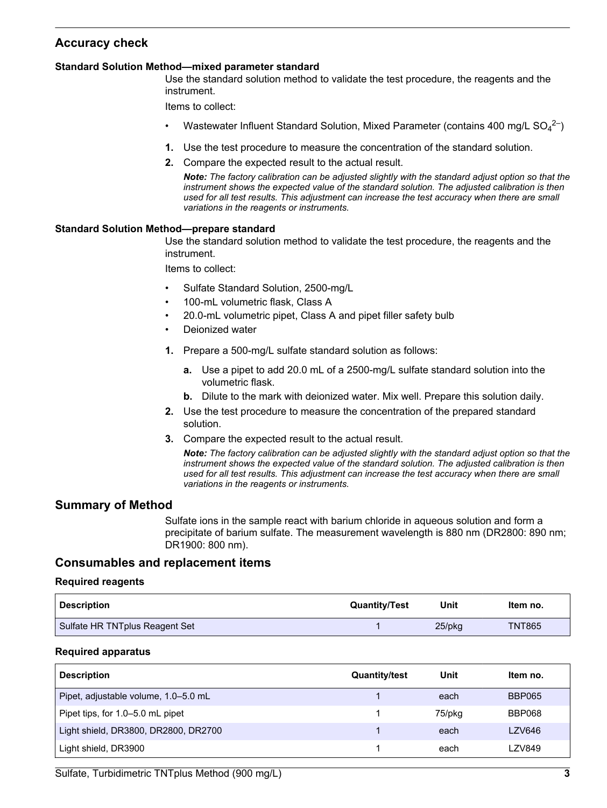# <span id="page-2-0"></span>**Accuracy check**

#### **Standard Solution Method—mixed parameter standard**

Use the standard solution method to validate the test procedure, the reagents and the instrument.

Items to collect:

- Wastewater Influent Standard Solution, Mixed Parameter (contains 400 mg/L  $SO_4^2$ )
- **1.** Use the test procedure to measure the concentration of the standard solution.
- **2.** Compare the expected result to the actual result.

*Note: The factory calibration can be adjusted slightly with the standard adjust option so that the instrument shows the expected value of the standard solution. The adjusted calibration is then used for all test results. This adjustment can increase the test accuracy when there are small variations in the reagents or instruments.*

#### **Standard Solution Method—prepare standard**

Use the standard solution method to validate the test procedure, the reagents and the instrument.

Items to collect:

- Sulfate Standard Solution, 2500-mg/L
- 100-mL volumetric flask, Class A
- 20.0-mL volumetric pipet, Class A and pipet filler safety bulb
- Deionized water
- **1.** Prepare a 500-mg/L sulfate standard solution as follows:
	- **a.** Use a pipet to add 20.0 mL of a 2500-mg/L sulfate standard solution into the volumetric flask.
	- **b.** Dilute to the mark with deionized water. Mix well. Prepare this solution daily.
- **2.** Use the test procedure to measure the concentration of the prepared standard solution.
- **3.** Compare the expected result to the actual result.

*Note: The factory calibration can be adjusted slightly with the standard adjust option so that the instrument shows the expected value of the standard solution. The adjusted calibration is then used for all test results. This adjustment can increase the test accuracy when there are small variations in the reagents or instruments.*

## **Summary of Method**

Sulfate ions in the sample react with barium chloride in aqueous solution and form a precipitate of barium sulfate. The measurement wavelength is 880 nm (DR2800: 890 nm; DR1900: 800 nm).

## **Consumables and replacement items**

#### **Required reagents**

| <b>Description</b>             | <b>Quantity/Test</b> | Unit      | ltem no.      |
|--------------------------------|----------------------|-----------|---------------|
| Sulfate HR TNTplus Reagent Set |                      | $25$ /pkq | <b>TNT865</b> |

#### **Required apparatus**

| <b>Description</b>                   | <b>Quantity/test</b> | Unit   | Item no.      |
|--------------------------------------|----------------------|--------|---------------|
| Pipet, adjustable volume, 1.0-5.0 mL |                      | each   | <b>BBP065</b> |
| Pipet tips, for 1.0-5.0 mL pipet     |                      | 75/pkg | BBP068        |
| Light shield, DR3800, DR2800, DR2700 |                      | each   | <b>LZV646</b> |
| Light shield, DR3900                 |                      | each   | <b>LZV849</b> |